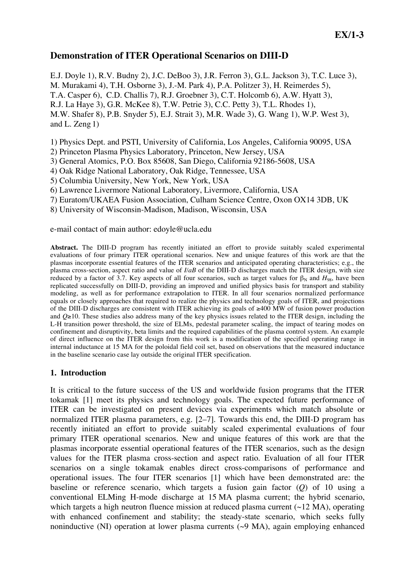# **Demonstration of ITER Operational Scenarios on DIII-D**

E.J. Doyle 1), R.V. Budny 2), J.C. DeBoo 3), J.R. Ferron 3), G.L. Jackson 3), T.C. Luce 3), M. Murakami 4), T.H. Osborne 3), J.-M. Park 4), P.A. Politzer 3), H. Reimerdes 5), T.A. Casper 6), C.D. Challis 7), R.J. Groebner 3), C.T. Holcomb 6), A.W. Hyatt 3), R.J. La Haye 3), G.R. McKee 8), T.W. Petrie 3), C.C. Petty 3), T.L. Rhodes 1), M.W. Shafer 8), P.B. Snyder 5), E.J. Strait 3), M.R. Wade 3), G. Wang 1), W.P. West 3), and L. Zeng 1)

1) Physics Dept. and PSTI, University of California, Los Angeles, California 90095, USA

2) Princeton Plasma Physics Laboratory, Princeton, New Jersey, USA

3) General Atomics, P.O. Box 85608, San Diego, California 92186-5608, USA

4) Oak Ridge National Laboratory, Oak Ridge, Tennessee, USA

5) Columbia University, New York, New York, USA

6) Lawrence Livermore National Laboratory, Livermore, California, USA

7) Euratom/UKAEA Fusion Association, Culham Science Centre, Oxon OX14 3DB, UK

8) University of Wisconsin-Madison, Madison, Wisconsin, USA

e-mail contact of main author: edoyle@ucla.edu

**Abstract.** The DIII-D program has recently initiated an effort to provide suitably scaled experimental evaluations of four primary ITER operational scenarios. New and unique features of this work are that the plasmas incorporate essential features of the ITER scenarios and anticipated operating characteristics; e.g., the plasma cross-section, aspect ratio and value of *I/aB* of the DIII-D discharges match the ITER design, with size reduced by a factor of 3.7. Key aspects of all four scenarios, such as target values for  $\beta_N$  and  $H_{98}$ , have been replicated successfully on DIII-D, providing an improved and unified physics basis for transport and stability modeling, as well as for performance extrapolation to ITER. In all four scenarios normalized performance equals or closely approaches that required to realize the physics and technology goals of ITER, and projections of the DIII-D discharges are consistent with ITER achieving its goals of  $\geq 400$  MW of fusion power production and  $Q\geq 10$ . These studies also address many of the key physics issues related to the ITER design, including the L-H transition power threshold, the size of ELMs, pedestal parameter scaling, the impact of tearing modes on confinement and disruptivity, beta limits and the required capabilities of the plasma control system. An example of direct influence on the ITER design from this work is a modification of the specified operating range in internal inductance at 15 MA for the poloidal field coil set, based on observations that the measured inductance in the baseline scenario case lay outside the original ITER specification.

## **1. Introduction**

It is critical to the future success of the US and worldwide fusion programs that the ITER tokamak [1] meet its physics and technology goals. The expected future performance of ITER can be investigated on present devices via experiments which match absolute or normalized ITER plasma parameters, e.g. [2–7]. Towards this end, the DIII-D program has recently initiated an effort to provide suitably scaled experimental evaluations of four primary ITER operational scenarios. New and unique features of this work are that the plasmas incorporate essential operational features of the ITER scenarios, such as the design values for the ITER plasma cross-section and aspect ratio. Evaluation of all four ITER scenarios on a single tokamak enables direct cross-comparisons of performance and operational issues. The four ITER scenarios [1] which have been demonstrated are: the baseline or reference scenario, which targets a fusion gain factor (*Q*) of 10 using a conventional ELMing H-mode discharge at 15 MA plasma current; the hybrid scenario, which targets a high neutron fluence mission at reduced plasma current  $(\sim 12 \text{ MA})$ , operating with enhanced confinement and stability; the steady-state scenario, which seeks fully noninductive (NI) operation at lower plasma currents  $(\sim 9 \text{ MA})$ , again employing enhanced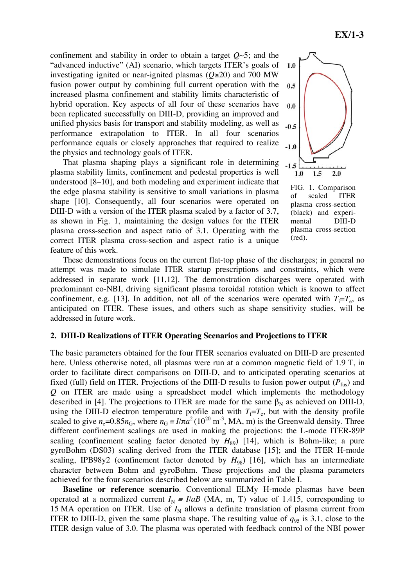confinement and stability in order to obtain a target *Q*~5; and the "advanced inductive" (AI) scenario, which targets ITER's goals of investigating ignited or near-ignited plasmas  $(Q\ge 20)$  and 700 MW fusion power output by combining full current operation with the increased plasma confinement and stability limits characteristic of hybrid operation. Key aspects of all four of these scenarios have been replicated successfully on DIII-D, providing an improved and unified physics basis for transport and stability modeling, as well as performance extrapolation to ITER. In all four scenarios performance equals or closely approaches that required to realize the physics and technology goals of ITER.

That plasma shaping plays a significant role in determining plasma stability limits, confinement and pedestal properties is well understood [8–10], and both modeling and experiment indicate that the edge plasma stability is sensitive to small variations in plasma shape [10]. Consequently, all four scenarios were operated on DIII-D with a version of the ITER plasma scaled by a factor of 3.7, as shown in Fig. 1, maintaining the design values for the ITER plasma cross-section and aspect ratio of 3.1. Operating with the correct ITER plasma cross-section and aspect ratio is a unique feature of this work.



FIG. 1. Comparison of scaled ITER plasma cross-section (black) and experimental DIII-D plasma cross-section (red).

These demonstrations focus on the current flat-top phase of the discharges; in general no attempt was made to simulate ITER startup prescriptions and constraints, which were addressed in separate work [11,12]. The demonstration discharges were operated with predominant co-NBI, driving significant plasma toroidal rotation which is known to affect confinement, e.g. [13]. In addition, not all of the scenarios were operated with  $T_i = T_e$ , as anticipated on ITER. These issues, and others such as shape sensitivity studies, will be addressed in future work.

## **2. DIII-D Realizations of ITER Operating Scenarios and Projections to ITER**

The basic parameters obtained for the four ITER scenarios evaluated on DIII-D are presented here. Unless otherwise noted, all plasmas were run at a common magnetic field of 1.9 T, in order to facilitate direct comparisons on DIII-D, and to anticipated operating scenarios at fixed (full) field on ITER. Projections of the DIII-D results to fusion power output  $(P_{fus})$  and *Q* on ITER are made using a spreadsheet model which implements the methodology described in [4]. The projections to ITER are made for the same  $\beta_N$  as achieved on DIII-D, using the DIII-D electron temperature profile and with  $T_i = T_e$ , but with the density profile scaled to give  $n_e$ =0.85 $n_G$ , where  $n_G = I/\pi a^2 (10^{20} \text{ m}^{-3})$ , MA, m) is the Greenwald density. Three different confinement scalings are used in making the projections: the L-mode ITER-89P scaling (confinement scaling factor denoted by  $H_{89}$ ) [14], which is Bohm-like; a pure gyroBohm (DS03) scaling derived from the ITER database [15]; and the ITER H-mode scaling, IPB98y2 (confinement factor denoted by  $H_{98}$ ) [16], which has an intermediate character between Bohm and gyroBohm. These projections and the plasma parameters achieved for the four scenarios described below are summarized in Table I.

**Baseline or reference scenario***.* Conventional ELMy H-mode plasmas have been operated at a normalized current  $I_N = I/aB$  (MA, m, T) value of 1.415, corresponding to 15 MA operation on ITER. Use of  $I_N$  allows a definite translation of plasma current from ITER to DIII-D, given the same plasma shape. The resulting value of  $q_{95}$  is 3.1, close to the ITER design value of 3.0. The plasma was operated with feedback control of the NBI power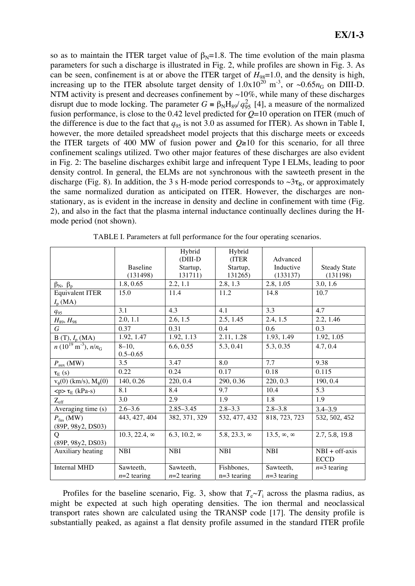so as to maintain the ITER target value of  $\beta_N=1.8$ . The time evolution of the main plasma parameters for such a discharge is illustrated in Fig. 2, while profiles are shown in Fig. 3. As can be seen, confinement is at or above the ITER target of  $H_{98}=1.0$ , and the density is high, increasing up to the ITER absolute target density of  $1.0x10^{20}$  m<sup>-3</sup>, or ~0.65 $n<sub>G</sub>$  on DIII-D. NTM activity is present and decreases confinement by  $\sim$ 10%, while many of these discharges disrupt due to mode locking. The parameter  $G = \beta_N H_{89}/q_{95}^2$  [4], a measure of the normalized fusion performance, is close to the 0.42 level predicted for *Q*=10 operation on ITER (much of the difference is due to the fact that  $q_{95}$  is not 3.0 as assumed for ITER). As shown in Table I, however, the more detailed spreadsheet model projects that this discharge meets or exceeds the ITER targets of 400 MW of fusion power and  $Q\geq 10$  for this scenario, for all three confinement scalings utilized. Two other major features of these discharges are also evident in Fig. 2: The baseline discharges exhibit large and infrequent Type I ELMs, leading to poor density control. In general, the ELMs are not synchronous with the sawteeth present in the discharge (Fig. 8). In addition, the 3 s H-mode period corresponds to  $\sim 3\tau_R$ , or approximately the same normalized duration as anticipated on ITER. However, the discharges are nonstationary, as is evident in the increase in density and decline in confinement with time (Fig. 2), and also in the fact that the plasma internal inductance continually declines during the Hmode period (not shown).

|                                             |                      | Hybrid                  | Hybrid              |                           |                     |
|---------------------------------------------|----------------------|-------------------------|---------------------|---------------------------|---------------------|
|                                             |                      | $(DIII-D)$              | (ITER               | Advanced                  |                     |
|                                             | <b>Baseline</b>      | Startup,                | Startup,            | Inductive                 | <b>Steady State</b> |
|                                             | (131498)             | 131711)                 | 131265)             | (133137)                  | (131198)            |
| $\beta_N$ , $\beta_p$                       | 1.8, 0.65            | 2.2, 1.1                | 2.8, 1.3            | 2.8, 1.05                 | 3.0, 1.6            |
| <b>Equivalent ITER</b>                      | 15.0                 | 11.4                    | 11.2                | 14.8                      | 10.7                |
| $I_{\rm p}$ (MA)                            |                      |                         |                     |                           |                     |
| $q_{95}$                                    | 3.1                  | 4.3                     | 4.1                 | 3.3                       | 4.7                 |
| $H_{89}$ , $H_{98}$                         | 2.0, 1.1             | 2.6, 1.5                | 2.5, 1.45           | 2.4, 1.5                  | 2.2, 1.46           |
| G                                           | 0.37                 | 0.31                    | 0.4                 | 0.6                       | 0.3                 |
| $B(T), I_{p}(MA)$                           | 1.92, 1.47           | $1.92, 1.\overline{13}$ | 2.11, 1.28          | 1.93, 1.49                | 1.92, 1.05          |
| $n(10^{19} \text{ m}^{-3}), n/n_{\text{G}}$ | $8 - 10$ ,           | 6.6, 0.55               | 5.3, 0.41           | 5.3, 0.35                 | 4.7, 0.4            |
|                                             | $0.5 - 0.65$         |                         |                     |                           |                     |
| $P_{\text{aux}}(\text{MW})$                 | $3.5^{\circ}$        | 3.47                    | 8.0                 | 7.7                       | 9.38                |
| $\tau_E(s)$                                 | 0.22                 | 0.24                    | 0.17                | 0.18                      | 0.115               |
| $v_{\phi}(0)$ (km/s), $M_{\phi}(0)$         | 140, 0.26            | 220, 0.4                | 290, 0.36           | 220, 0.3                  | 190, 0.4            |
| $<$ p> $\tau_E$ (kPa-s)                     | 8.1                  | 8.4                     | 9.7                 | 10.4                      | 5.3                 |
| $Z_{\rm eff}$                               | 3.0                  | 2.9                     | 1.9                 | 1.8                       | 1.9                 |
| Averaging time (s)                          | $2.6 - 3.6$          | $2.85 - 3.45$           | $2.8 - 3.3$         | $2.8 - 3.8$               | $3.4 - 3.9$         |
| $P_{\text{fus}}$ (MW)                       | 443, 427, 404        | 382, 371, 329           | 532, 477, 432       | 818, 723, 723             | 532, 502, 452       |
| (89P, 98y2, DS03)                           |                      |                         |                     |                           |                     |
| O                                           | $10.3, 22.4, \infty$ | 6.3, 10.2, $\infty$     | 5.8, 23.3, $\infty$ | 13.5, $\infty$ , $\infty$ | 2.7, 5.8, 19.8      |
| (89P, 98y2, DS03)                           |                      |                         |                     |                           |                     |
| Auxiliary heating                           | <b>NBI</b>           | <b>NBI</b>              | <b>NBI</b>          | <b>NBI</b>                | $NBI + off-axis$    |
|                                             |                      |                         |                     |                           | <b>ECCD</b>         |
| <b>Internal MHD</b>                         | Sawteeth,            | Sawteeth,               | Fishbones,          | Sawteeth,                 | $n=3$ tearing       |
|                                             | $n=2$ tearing        | $n=2$ tearing           | $n=3$ tearing       | $n=3$ tearing             |                     |

TABLE I. Parameters at full performance for the four operating scenarios.

Profiles for the baseline scenario, Fig. 3, show that  $T_e \sim T_i$  across the plasma radius, as might be expected at such high operating densities. The ion thermal and neoclassical transport rates shown are calculated using the TRANSP code [17]. The density profile is substantially peaked, as against a flat density profile assumed in the standard ITER profile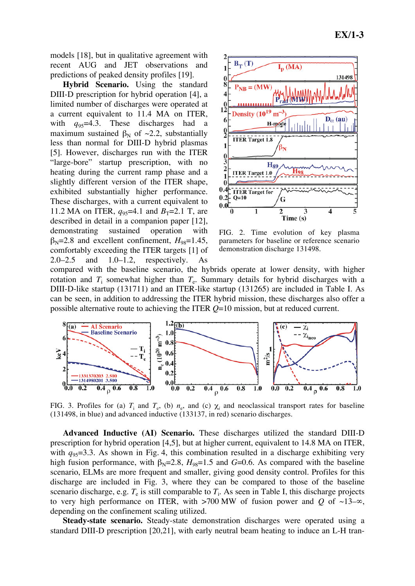models [18], but in qualitative agreement with recent AUG and JET observations and predictions of peaked density profiles [19].

**Hybrid Scenario.** Using the standard DIII-D prescription for hybrid operation [4], a limited number of discharges were operated at a current equivalent to 11.4 MA on ITER, with  $q_{95}=4.3$ . These discharges had a maximum sustained  $\beta_N$  of  $\sim$ 2.2, substantially less than normal for DIII-D hybrid plasmas [5]. However, discharges run with the ITER "large-bore" startup prescription, with no heating during the current ramp phase and a slightly different version of the ITER shape, exhibited substantially higher performance. These discharges, with a current equivalent to 11.2 MA on ITER,  $q_{95}=4.1$  and  $B_T=2.1$  T, are described in detail in a companion paper [12], demonstrating sustained operation with  $\beta_{N}$ =2.8 and excellent confinement,  $H_{98}$ =1.45, comfortably exceeding the ITER targets [1] of 2.0–2.5 and 1.0–1.2, respectively. As



FIG. 2. Time evolution of key plasma parameters for baseline or reference scenario demonstration discharge 131498.

compared with the baseline scenario, the hybrids operate at lower density, with higher rotation and  $T_i$  somewhat higher than  $T_e$ . Summary details for hybrid discharges with a DIII-D-like startup (131711) and an ITER-like startup (131265) are included in Table I. As can be seen, in addition to addressing the ITER hybrid mission, these discharges also offer a possible alternative route to achieving the ITER *Q*=10 mission, but at reduced current.



FIG. 3. Profiles for (a)  $T_i$  and  $T_e$ , (b)  $n_e$ , and (c)  $\chi_i$  and neoclassical transport rates for baseline (131498, in blue) and advanced inductive (133137, in red) scenario discharges.

**Advanced Inductive (AI) Scenario.** These discharges utilized the standard DIII-D prescription for hybrid operation [4,5], but at higher current, equivalent to 14.8 MA on ITER, with  $q_{95}=3.3$ . As shown in Fig. 4, this combination resulted in a discharge exhibiting very high fusion performance, with  $\beta_N = 2.8$ ,  $H_{98} = 1.5$  and *G*=0.6. As compared with the baseline scenario, ELMs are more frequent and smaller, giving good density control. Profiles for this discharge are included in Fig. 3, where they can be compared to those of the baseline scenario discharge, e.g.  $T_e$  is still comparable to  $T_i$ . As seen in Table I, this discharge projects to very high performance on ITER, with  $>700$  MW of fusion power and *Q* of  $\sim$ 13– $\infty$ , depending on the confinement scaling utilized.

**Steady-state scenario.** Steady-state demonstration discharges were operated using a standard DIII-D prescription [20,21], with early neutral beam heating to induce an L-H tran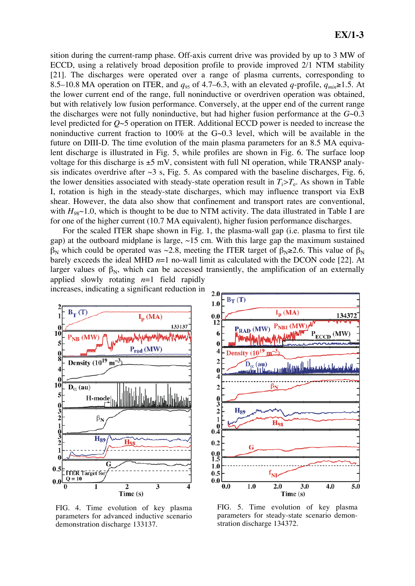sition during the current-ramp phase. Off-axis current drive was provided by up to 3 MW of ECCD, using a relatively broad deposition profile to provide improved 2/1 NTM stability [21]. The discharges were operated over a range of plasma currents, corresponding to 8.5–10.8 MA operation on ITER, and  $q_{95}$  of 4.7–6.3, with an elevated *q*-profile,  $q_{min} \ge 1.5$ . At the lower current end of the range, full noninductive or overdriven operation was obtained, but with relatively low fusion performance. Conversely, at the upper end of the current range the discharges were not fully noninductive, but had higher fusion performance at the *G*~0.3 level predicted for *Q*~5 operation on ITER. Additional ECCD power is needed to increase the noninductive current fraction to 100% at the G~0.3 level, which will be available in the future on DIII-D. The time evolution of the main plasma parameters for an 8.5 MA equivalent discharge is illustrated in Fig. 5, while profiles are shown in Fig. 6. The surface loop voltage for this discharge is  $\pm$ 5 mV, consistent with full NI operation, while TRANSP analysis indicates overdrive after  $\sim$ 3 s, Fig. 5. As compared with the baseline discharges, Fig. 6, the lower densities associated with steady-state operation result in  $T_i > T_e$ . As shown in Table I, rotation is high in the steady-state discharges, which may influence transport via ExB shear. However, the data also show that confinement and transport rates are conventional, with  $H_{98}$  $\sim$ 1.0, which is thought to be due to NTM activity. The data illustrated in Table I are for one of the higher current (10.7 MA equivalent), higher fusion performance discharges.

For the scaled ITER shape shown in Fig. 1, the plasma-wall gap (i.e. plasma to first tile gap) at the outboard midplane is large,  $\sim$ 15 cm. With this large gap the maximum sustained  $\beta_N$  which could be operated was ~2.8, meeting the ITER target of  $\beta_N \ge 2.6$ . This value of  $\beta_N$ barely exceeds the ideal MHD *n*=1 no-wall limit as calculated with the DCON code [22]. At larger values of  $\beta_N$ , which can be accessed transiently, the amplification of an externally applied slowly rotating *n*=1 field rapidly



FIG. 4. Time evolution of key plasma parameters for advanced inductive scenario demonstration discharge 133137.



FIG. 5. Time evolution of key plasma parameters for steady-state scenario demonstration discharge 134372.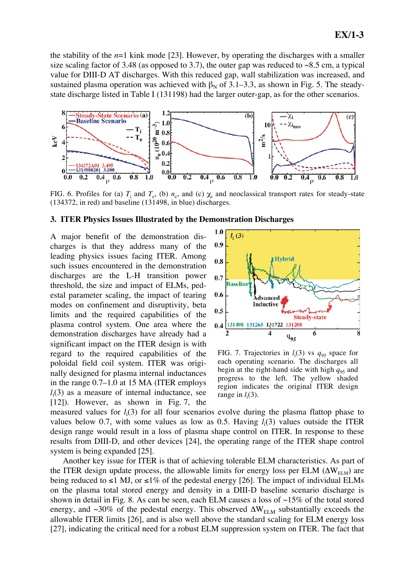the stability of the  $n=1$  kink mode [23]. However, by operating the discharges with a smaller size scaling factor of 3.48 (as opposed to 3.7), the outer gap was reduced to  $\sim 8.5$  cm, a typical value for DIII-D AT discharges. With this reduced gap, wall stabilization was increased, and sustained plasma operation was achieved with  $\beta_N$  of 3.1–3.3, as shown in Fig. 5. The steadystate discharge listed in Table I (131198) had the larger outer-gap, as for the other scenarios.



FIG. 6. Profiles for (a)  $T_i$  and  $T_e$ , (b)  $n_e$ , and (c)  $\chi_i$  and neoclassical transport rates for steady-state (134372, in red) and baseline (131498, in blue) discharges.

#### **3. ITER Physics Issues Illustrated by the Demonstration Discharges**

A major benefit of the demonstration discharges is that they address many of the leading physics issues facing ITER. Among such issues encountered in the demonstration discharges are the L-H transition power threshold, the size and impact of ELMs, pedestal parameter scaling, the impact of tearing modes on confinement and disruptivity, beta limits and the required capabilities of the plasma control system. One area where the demonstration discharges have already had a significant impact on the ITER design is with regard to the required capabilities of the poloidal field coil system. ITER was originally designed for plasma internal inductances in the range 0.7–1.0 at 15 MA (ITER employs  $l_i(3)$  as a measure of internal inductance, see [12]). However, as shown in Fig. 7, the



FIG. 7. Trajectories in  $l_i(3)$  vs  $q_{95}$  space for each operating scenario. The discharges all begin at the right-hand side with high  $q_{95}$  and progress to the left. The yellow shaded region indicates the original ITER design range in  $l_i(3)$ .

measured values for *l*<sup>i</sup> (3) for all four scenarios evolve during the plasma flattop phase to values below 0.7, with some values as low as 0.5. Having  $l_i(3)$  values outside the ITER design range would result in a loss of plasma shape control on ITER. In response to these results from DIII-D, and other devices [24], the operating range of the ITER shape control system is being expanded [25].

Another key issue for ITER is that of achieving tolerable ELM characteristics. As part of the ITER design update process, the allowable limits for energy loss per ELM  $(\Delta W_{\text{ELM}})$  are being reduced to  $\leq 1$  MJ, or  $\leq 1\%$  of the pedestal energy [26]. The impact of individual ELMs on the plasma total stored energy and density in a DIII-D baseline scenario discharge is shown in detail in Fig. 8. As can be seen, each ELM causes a loss of  $\sim$ 15% of the total stored energy, and  $\sim$ 30% of the pedestal energy. This observed  $\Delta W_{\text{ELM}}$  substantially exceeds the allowable ITER limits [26], and is also well above the standard scaling for ELM energy loss [27], indicating the critical need for a robust ELM suppression system on ITER. The fact that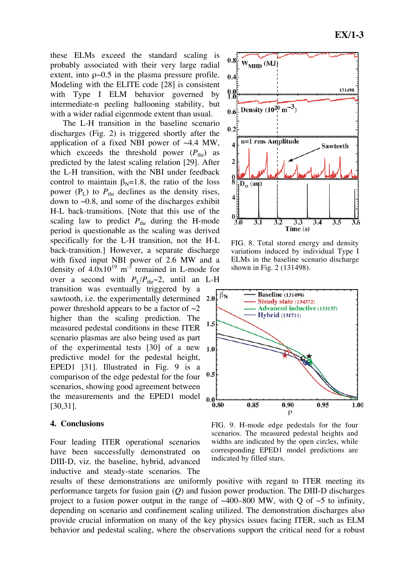these ELMs exceed the standard scaling is probably associated with their very large radial extent, into  $\rho$  -0.5 in the plasma pressure profile. Modeling with the ELITE code [28] is consistent with Type I ELM behavior governed by intermediate-n peeling ballooning stability, but with a wider radial eigenmode extent than usual.

The L-H transition in the baseline scenario discharges (Fig. 2) is triggered shortly after the application of a fixed NBI power of ~4.4 MW, which exceeds the threshold power  $(P_{thr})$  as predicted by the latest scaling relation [29]. After the L-H transition, with the NBI under feedback control to maintain  $\beta_N=1.8$ , the ratio of the loss power  $(P_L)$  to  $P_{thr}$  declines as the density rises, down to  $\sim 0.8$ , and some of the discharges exhibit H-L back-transitions. [Note that this use of the scaling law to predict  $P_{\text{thr}}$  during the H-mode period is questionable as the scaling was derived specifically for the L-H transition, not the H-L back-transition.] However, a separate discharge with fixed input NBI power of 2.6 MW and a density of  $4.0x10^{19}$  m<sup>-3</sup> remained in L-mode for over a second with  $P_L/P_{thr} \sim 2$ , until an L-H transition was eventually triggered by a sawtooth, i.e. the experimentally determined power threshold appears to be a factor of  $\sim$ 2 higher than the scaling prediction. The measured pedestal conditions in these ITER scenario plasmas are also being used as part of the experimental tests [30] of a new predictive model for the pedestal height, EPED1 [31]. Illustrated in Fig. 9 is a  $0.5$ comparison of the edge pedestal for the four scenarios, showing good agreement between the measurements and the EPED1 model [30,31].

## **4. Conclusions**

Four leading ITER operational scenarios have been successfully demonstrated on DIII-D, viz. the baseline, hybrid, advanced inductive and steady-state scenarios. The



FIG. 8. Total stored energy and density variations induced by individual Type I ELMs in the baseline scenario discharge shown in Fig. 2 (131498).



FIG. 9. H-mode edge pedestals for the four scenarios. The measured pedestal heights and widths are indicated by the open circles, while corresponding EPED1 model predictions are indicated by filled stars.

results of these demonstrations are uniformly positive with regard to ITER meeting its performance targets for fusion gain (*Q*) and fusion power production. The DIII-D discharges project to a fusion power output in the range of  $~400-800$  MW, with Q of  $~5$  to infinity, depending on scenario and confinement scaling utilized. The demonstration discharges also provide crucial information on many of the key physics issues facing ITER, such as ELM behavior and pedestal scaling, where the observations support the critical need for a robust